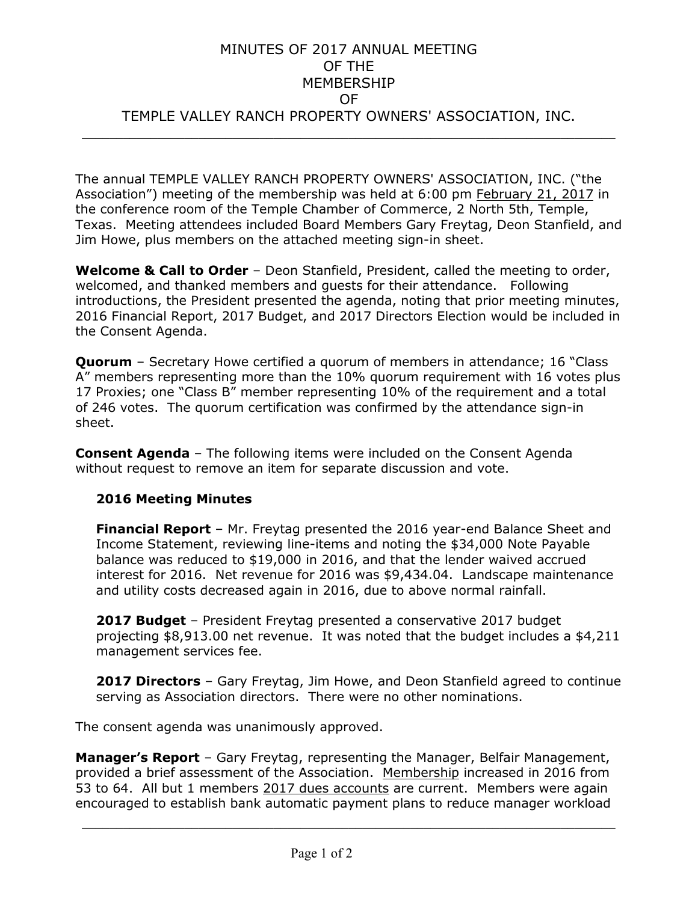## MINUTES OF 2017 ANNUAL MEETING OF THE MEMBERSHIP OF TEMPLE VALLEY RANCH PROPERTY OWNERS' ASSOCIATION, INC.  $\frac{1}{2}$  ,  $\frac{1}{2}$  ,  $\frac{1}{2}$  ,  $\frac{1}{2}$  ,  $\frac{1}{2}$  ,  $\frac{1}{2}$  ,  $\frac{1}{2}$  ,  $\frac{1}{2}$  ,  $\frac{1}{2}$  ,  $\frac{1}{2}$  ,  $\frac{1}{2}$  ,  $\frac{1}{2}$  ,  $\frac{1}{2}$  ,  $\frac{1}{2}$  ,  $\frac{1}{2}$  ,  $\frac{1}{2}$  ,  $\frac{1}{2}$  ,  $\frac{1}{2}$  ,  $\frac{1$

The annual TEMPLE VALLEY RANCH PROPERTY OWNERS' ASSOCIATION, INC. ("the Association") meeting of the membership was held at 6:00 pm February 21, 2017 in the conference room of the Temple Chamber of Commerce, 2 North 5th, Temple, Texas. Meeting attendees included Board Members Gary Freytag, Deon Stanfield, and Jim Howe, plus members on the attached meeting sign-in sheet.

**Welcome & Call to Order** – Deon Stanfield, President, called the meeting to order, welcomed, and thanked members and guests for their attendance. Following introductions, the President presented the agenda, noting that prior meeting minutes, 2016 Financial Report, 2017 Budget, and 2017 Directors Election would be included in the Consent Agenda.

**Quorum** – Secretary Howe certified a quorum of members in attendance; 16 "Class" A" members representing more than the 10% quorum requirement with 16 votes plus 17 Proxies; one "Class B" member representing 10% of the requirement and a total of 246 votes. The quorum certification was confirmed by the attendance sign-in sheet.

**Consent Agenda** – The following items were included on the Consent Agenda without request to remove an item for separate discussion and vote.

## **2016 Meeting Minutes**

**Financial Report** – Mr. Freytag presented the 2016 year-end Balance Sheet and Income Statement, reviewing line-items and noting the \$34,000 Note Payable balance was reduced to \$19,000 in 2016, and that the lender waived accrued interest for 2016. Net revenue for 2016 was \$9,434.04. Landscape maintenance and utility costs decreased again in 2016, due to above normal rainfall.

**2017 Budget** – President Freytag presented a conservative 2017 budget projecting \$8,913.00 net revenue. It was noted that the budget includes a \$4,211 management services fee.

**2017 Directors** – Gary Freytag, Jim Howe, and Deon Stanfield agreed to continue serving as Association directors. There were no other nominations.

The consent agenda was unanimously approved.

**Manager's Report** – Gary Freytag, representing the Manager, Belfair Management, provided a brief assessment of the Association. Membership increased in 2016 from 53 to 64. All but 1 members 2017 dues accounts are current. Members were again encouraged to establish bank automatic payment plans to reduce manager workload

 $\frac{1}{2}$  ,  $\frac{1}{2}$  ,  $\frac{1}{2}$  ,  $\frac{1}{2}$  ,  $\frac{1}{2}$  ,  $\frac{1}{2}$  ,  $\frac{1}{2}$  ,  $\frac{1}{2}$  ,  $\frac{1}{2}$  ,  $\frac{1}{2}$  ,  $\frac{1}{2}$  ,  $\frac{1}{2}$  ,  $\frac{1}{2}$  ,  $\frac{1}{2}$  ,  $\frac{1}{2}$  ,  $\frac{1}{2}$  ,  $\frac{1}{2}$  ,  $\frac{1}{2}$  ,  $\frac{1$